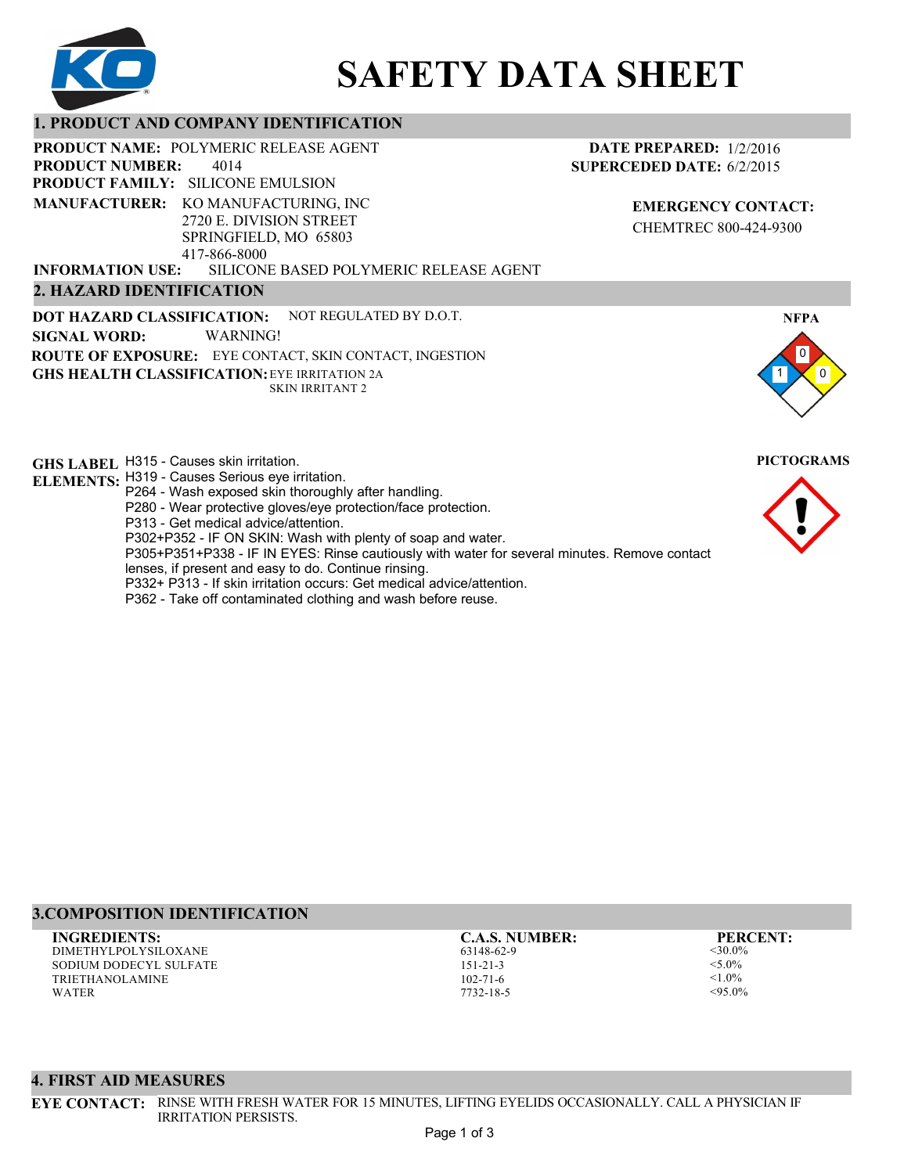

# **SAFETY DATA SHEET**

## **1. PRODUCT AND COMPANY IDENTIFICATION**

PRODUCT NAME: POLYMERIC RELEASE AGENT

4014 **PRODUCT FAMILY: SILICONE EMULSION PRODUCT NUMBER: MANUFACTURER:** KO MANUFACTURING, INC 2720 E. DIVISION STREET SPRINGFIELD, MO 65803 417-866-8000

**DATE PREPARED:** 1/2/2016 **SUPERCEDED DATE:** 6/2/2015

> **EMERGENCY CONTACT:** CHEMTREC 800-424-9300

SILICONE BASED POLYMERIC RELEASE AGENT **2. HAZARD IDENTIFICATION INFORMATION USE:**

**DOT HAZARD CLASSIFICATION: GHS HEALTH CLASSIFICATION:** EYE IRRITATION 2A **ROUTE OF EXPOSURE:** EYE CONTACT, SKIN CONTACT, INGESTION NOT REGULATED BY D.O.T. SKIN IRRITANT 2 **SIGNAL WORD:** WARNING!

**GHS LABEL**  H315 - Causes skin irritation. **PICTOGRAMS ELEMENTS:** H319 - Causes Serious eye irritation. P264 - Wash exposed skin thoroughly after handling. P280 - Wear protective gloves/eye protection/face protection. P313 - Get medical advice/attention. P302+P352 - IF ON SKIN: Wash with plenty of soap and water. P305+P351+P338 - IF IN EYES: Rinse cautiously with water for several minutes. Remove contact lenses, if present and easy to do. Continue rinsing. P332+ P313 - If skin irritation occurs: Get medical advice/attention. P362 - Take off contaminated clothing and wash before reuse.



DIMETHYLPOLYSILOXANE SODIUM DODECYL SULFATE TRIETHANOLAMINE WATER **INGREDIENTS: C.A.S. NUMBER: PERCENT:**

63148-62-9 151-21-3 102-71-6 7732-18-5

<30.0%  $<$  5.0%  $1.0\%$  $<$ 95.0%

## **4. FIRST AID MEASURES**

**EYE CONTACT:** RINSE WITH FRESH WATER FOR 15 MINUTES, LIFTING EYELIDS OCCASIONALLY. CALL A PHYSICIAN IF IRRITATION PERSISTS.



**NFPA**

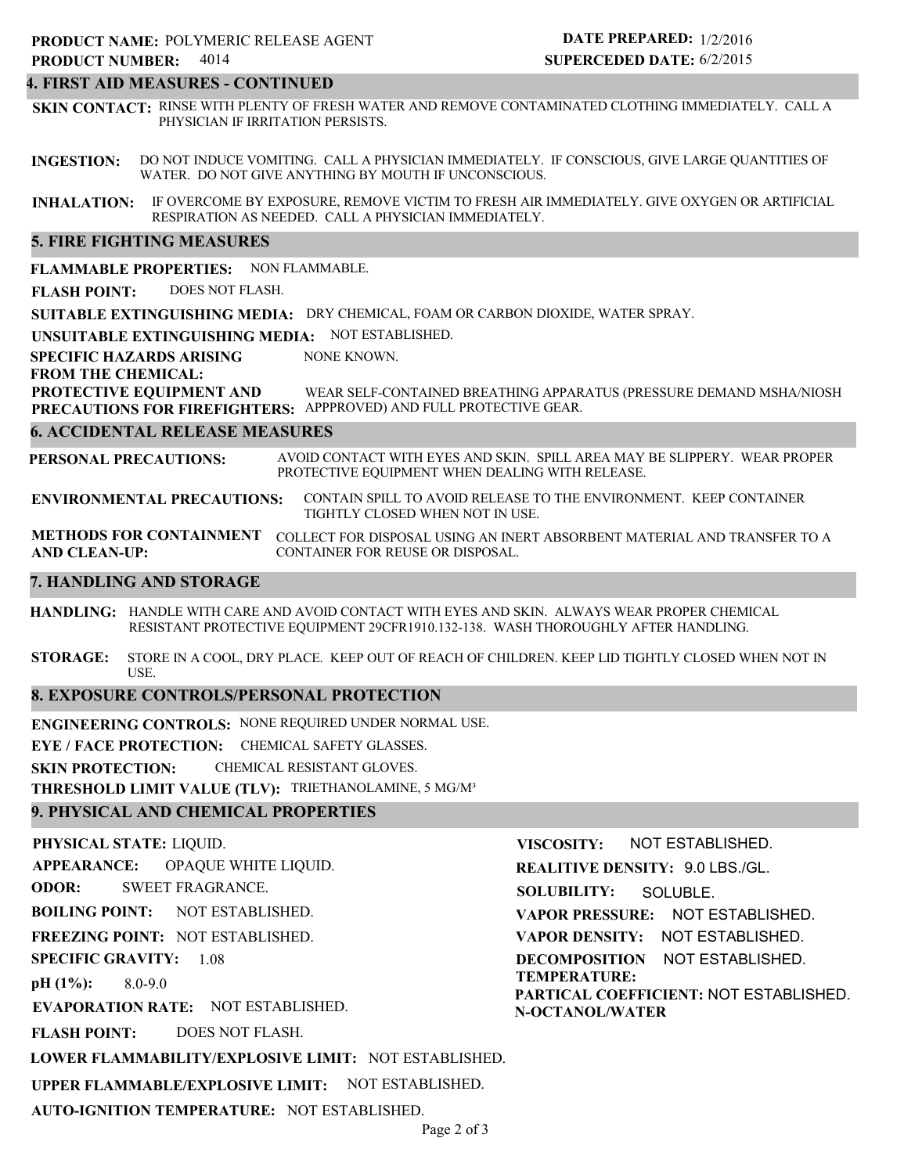## **4. FIRST AID MEASURES - CONTINUED**

**SKIN CONTACT:** RINSE WITH PLENTY OF FRESH WATER AND REMOVE CONTAMINATED CLOTHING IMMEDIATELY. CALL A PHYSICIAN IF IRRITATION PERSISTS.

**INGESTION:** DO NOT INDUCE VOMITING. CALL A PHYSICIAN IMMEDIATELY. IF CONSCIOUS, GIVE LARGE QUANTITIES OF WATER. DO NOT GIVE ANYTHING BY MOUTH IF UNCONSCIOUS.

**INHALATION:** IF OVERCOME BY EXPOSURE, REMOVE VICTIM TO FRESH AIR IMMEDIATELY. GIVE OXYGEN OR ARTIFICIAL RESPIRATION AS NEEDED. CALL A PHYSICIAN IMMEDIATELY.

## **5. FIRE FIGHTING MEASURES**

**FLAMMABLE PROPERTIES:** NON FLAMMABLE.

**FLASH POINT:** DOES NOT FLASH.

**SUITABLE EXTINGUISHING MEDIA:** DRY CHEMICAL, FOAM OR CARBON DIOXIDE, WATER SPRAY.

**UNSUITABLE EXTINGUISHING MEDIA:** NOT ESTABLISHED.

**SPECIFIC HAZARDS ARISING** NONE KNOWN.

**FROM THE CHEMICAL:**

**PROTECTIVE EQUIPMENT AND PRECAUTIONS FOR FIREFIGHTERS:** APPPROVED) AND FULL PROTECTIVE GEAR. WEAR SELF-CONTAINED BREATHING APPARATUS (PRESSURE DEMAND MSHA/NIOSH

#### **6. ACCIDENTAL RELEASE MEASURES**

**PERSONAL PRECAUTIONS:** AVOID CONTACT WITH EYES AND SKIN. SPILL AREA MAY BE SLIPPERY. WEAR PROPER PROTECTIVE EQUIPMENT WHEN DEALING WITH RELEASE.

**ENVIRONMENTAL PRECAUTIONS:** CONTAIN SPILL TO AVOID RELEASE TO THE ENVIRONMENT. KEEP CONTAINER TIGHTLY CLOSED WHEN NOT IN USE.

**METHODS FOR CONTAINMENT** COLLECT FOR DISPOSAL USING AN INERT ABSORBENT MATERIAL AND TRANSFER TO A **AND CLEAN-UP:** CONTAINER FOR REUSE OR DISPOSAL.

### **7. HANDLING AND STORAGE**

**HANDLING:** HANDLE WITH CARE AND AVOID CONTACT WITH EYES AND SKIN. ALWAYS WEAR PROPER CHEMICAL RESISTANT PROTECTIVE EQUIPMENT 29CFR1910.132-138. WASH THOROUGHLY AFTER HANDLING.

**STORAGE:** STORE IN A COOL, DRY PLACE. KEEP OUT OF REACH OF CHILDREN. KEEP LID TIGHTLY CLOSED WHEN NOT IN USE.

## **8. EXPOSURE CONTROLS/PERSONAL PROTECTION**

**ENGINEERING CONTROLS:** NONE REQUIRED UNDER NORMAL USE.

**EYE / FACE PROTECTION:** CHEMICAL SAFETY GLASSES.

**SKIN PROTECTION:** CHEMICAL RESISTANT GLOVES.

**THRESHOLD LIMIT VALUE (TLV):** TRIETHANOLAMINE, 5 MG/M³

## **9. PHYSICAL AND CHEMICAL PROPERTIES**

**PHYSICAL STATE:** LIQUID. **APPEARANCE: ODOR: BOILING POINT: FREEZING POINT:** NOT ESTABLISHED. **SPECIFIC GRAVITY:** 1.08 **pH (1%): EVAPORATION RATE:** NOT ESTABLISHED. **FLASH POINT: LOWER FLAMMABILITY/EXPLOSIVE LIMIT:** NOT ESTABLISHED. **UPPER FLAMMABLE/EXPLOSIVE LIMIT:** NOT ESTABLISHED. NOT ESTABLISHED. 8.0-9.0 DOES NOT FLASH. OPAQUE WHITE LIQUID. SWEET FRAGRANCE. **VISCOSITY: REALITIVE DENSITY:** 9.0 LBS./GL. **SOLUBILITY: VAPOR PRESSURE:** NOT ESTABLISHED. **VAPOR DENSITY:** NOT ESTABLISHED. **DECOMPOSITION** NOT ESTABLISHED. **TEMPERATURE: PARTICAL COEFFICIENT:** NOT ESTABLISHED. **N-OCTANOL/WATER** NOT ESTABLISHED. SOLUBLE.

**AUTO-IGNITION TEMPERATURE:** NOT ESTABLISHED.